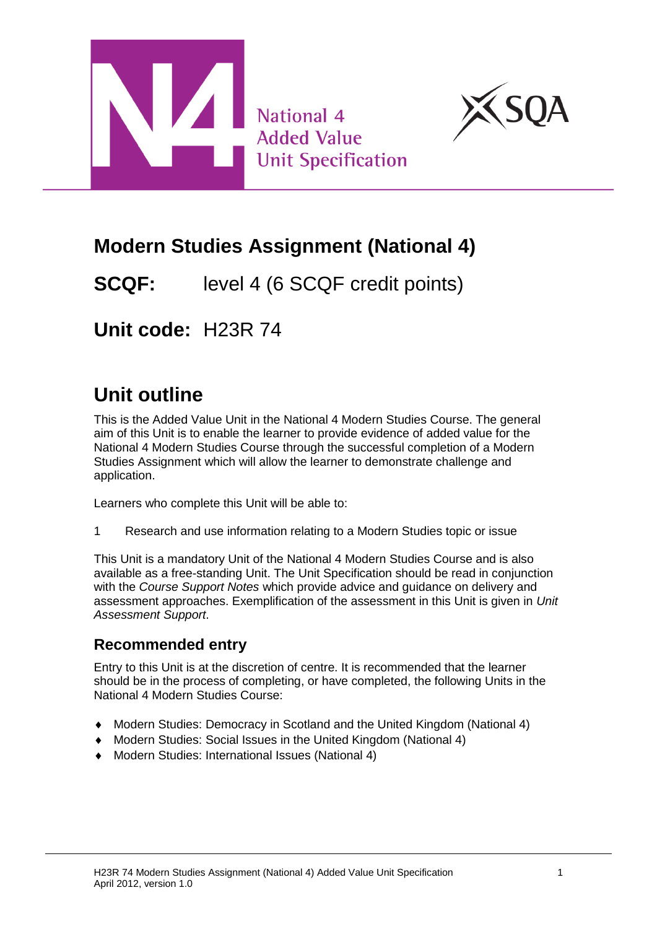



# **Modern Studies Assignment (National 4)**

**SCQF:** level 4 (6 SCQF credit points)

**Unit code:** H23R 74

# **Unit outline**

This is the Added Value Unit in the National 4 Modern Studies Course. The general aim of this Unit is to enable the learner to provide evidence of added value for the National 4 Modern Studies Course through the successful completion of a Modern Studies Assignment which will allow the learner to demonstrate challenge and application.

Learners who complete this Unit will be able to:

1 Research and use information relating to a Modern Studies topic or issue

This Unit is a mandatory Unit of the National 4 Modern Studies Course and is also available as a free-standing Unit. The Unit Specification should be read in conjunction with the *Course Support Notes* which provide advice and guidance on delivery and assessment approaches. Exemplification of the assessment in this Unit is given in *Unit Assessment Support*.

### **Recommended entry**

Entry to this Unit is at the discretion of centre. It is recommended that the learner should be in the process of completing, or have completed, the following Units in the National 4 Modern Studies Course:

- Modern Studies: Democracy in Scotland and the United Kingdom (National 4)
- Modern Studies: Social Issues in the United Kingdom (National 4)
- Modern Studies: International Issues (National 4)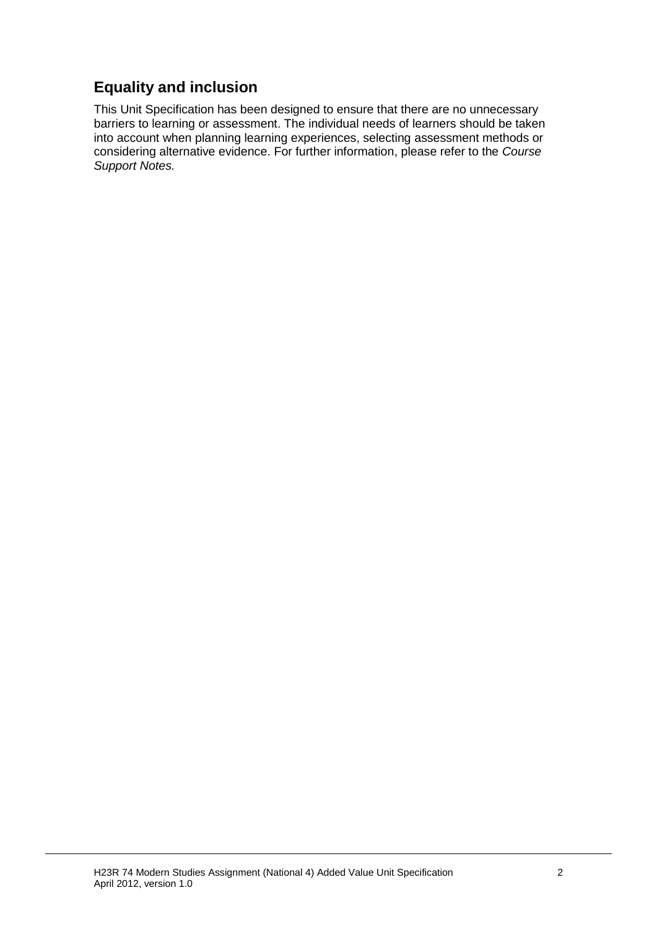### **Equality and inclusion**

This Unit Specification has been designed to ensure that there are no unnecessary barriers to learning or assessment. The individual needs of learners should be taken into account when planning learning experiences, selecting assessment methods or considering alternative evidence. For further information, please refer to the *Course Support Notes.*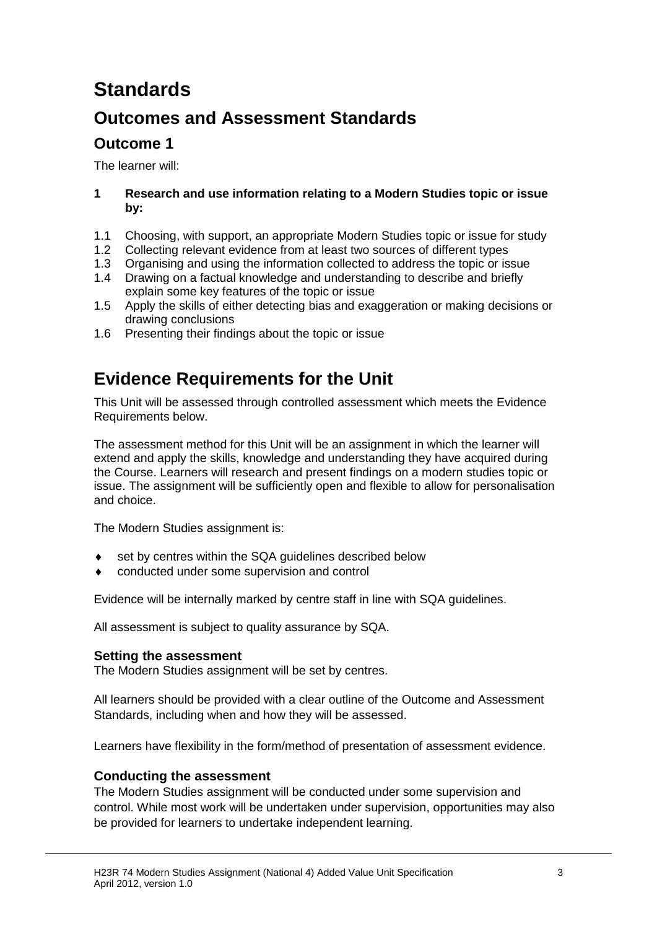# **Standards**

### **Outcomes and Assessment Standards**

### **Outcome 1**

The learner will:

#### **1 Research and use information relating to a Modern Studies topic or issue by:**

- 1.1 Choosing, with support, an appropriate Modern Studies topic or issue for study
- 1.2 Collecting relevant evidence from at least two sources of different types
- 1.3 Organising and using the information collected to address the topic or issue
- 1.4 Drawing on a factual knowledge and understanding to describe and briefly explain some key features of the topic or issue
- 1.5 Apply the skills of either detecting bias and exaggeration or making decisions or drawing conclusions
- 1.6 Presenting their findings about the topic or issue

## **Evidence Requirements for the Unit**

This Unit will be assessed through controlled assessment which meets the Evidence Requirements below.

The assessment method for this Unit will be an assignment in which the learner will extend and apply the skills, knowledge and understanding they have acquired during the Course. Learners will research and present findings on a modern studies topic or issue. The assignment will be sufficiently open and flexible to allow for personalisation and choice.

The Modern Studies assignment is:

- set by centres within the SQA guidelines described below
- conducted under some supervision and control

Evidence will be internally marked by centre staff in line with SQA guidelines.

All assessment is subject to quality assurance by SQA.

#### **Setting the assessment**

The Modern Studies assignment will be set by centres.

All learners should be provided with a clear outline of the Outcome and Assessment Standards, including when and how they will be assessed.

Learners have flexibility in the form/method of presentation of assessment evidence.

#### **Conducting the assessment**

The Modern Studies assignment will be conducted under some supervision and control. While most work will be undertaken under supervision, opportunities may also be provided for learners to undertake independent learning.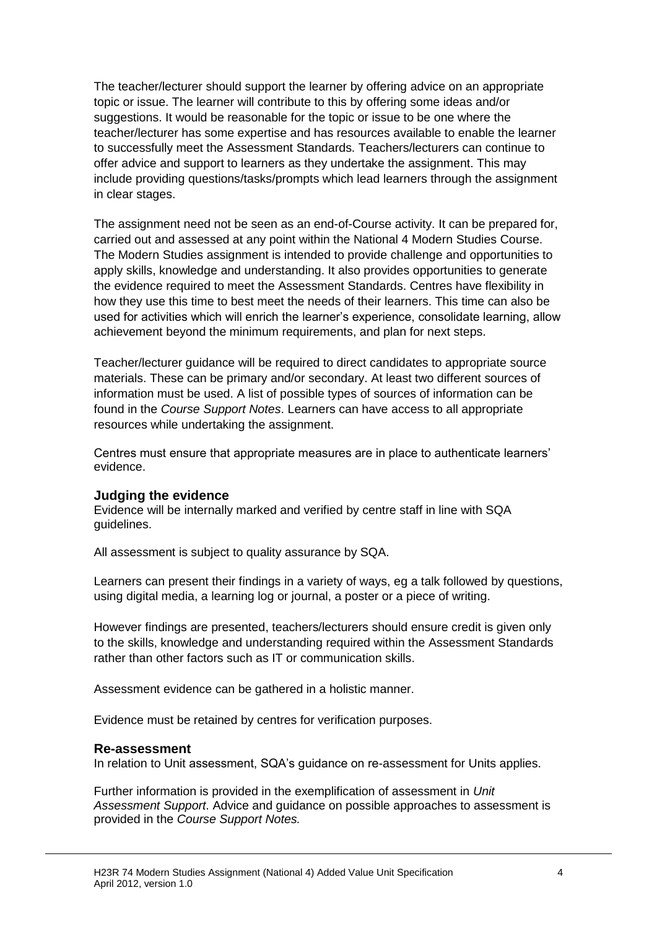The teacher/lecturer should support the learner by offering advice on an appropriate topic or issue. The learner will contribute to this by offering some ideas and/or suggestions. It would be reasonable for the topic or issue to be one where the teacher/lecturer has some expertise and has resources available to enable the learner to successfully meet the Assessment Standards. Teachers/lecturers can continue to offer advice and support to learners as they undertake the assignment. This may include providing questions/tasks/prompts which lead learners through the assignment in clear stages.

The assignment need not be seen as an end-of-Course activity. It can be prepared for, carried out and assessed at any point within the National 4 Modern Studies Course. The Modern Studies assignment is intended to provide challenge and opportunities to apply skills, knowledge and understanding. It also provides opportunities to generate the evidence required to meet the Assessment Standards. Centres have flexibility in how they use this time to best meet the needs of their learners. This time can also be used for activities which will enrich the learner's experience, consolidate learning, allow achievement beyond the minimum requirements, and plan for next steps.

Teacher/lecturer guidance will be required to direct candidates to appropriate source materials. These can be primary and/or secondary. At least two different sources of information must be used. A list of possible types of sources of information can be found in the *Course Support Notes*. Learners can have access to all appropriate resources while undertaking the assignment.

Centres must ensure that appropriate measures are in place to authenticate learners' evidence.

#### **Judging the evidence**

Evidence will be internally marked and verified by centre staff in line with SQA guidelines.

All assessment is subject to quality assurance by SQA.

Learners can present their findings in a variety of ways, eg a talk followed by questions, using digital media, a learning log or journal, a poster or a piece of writing.

However findings are presented, teachers/lecturers should ensure credit is given only to the skills, knowledge and understanding required within the Assessment Standards rather than other factors such as IT or communication skills.

Assessment evidence can be gathered in a holistic manner.

Evidence must be retained by centres for verification purposes.

#### **Re-assessment**

In relation to Unit assessment, SQA's guidance on re-assessment for Units applies.

Further information is provided in the exemplification of assessment in *Unit Assessment Support*. Advice and guidance on possible approaches to assessment is provided in the *Course Support Notes.*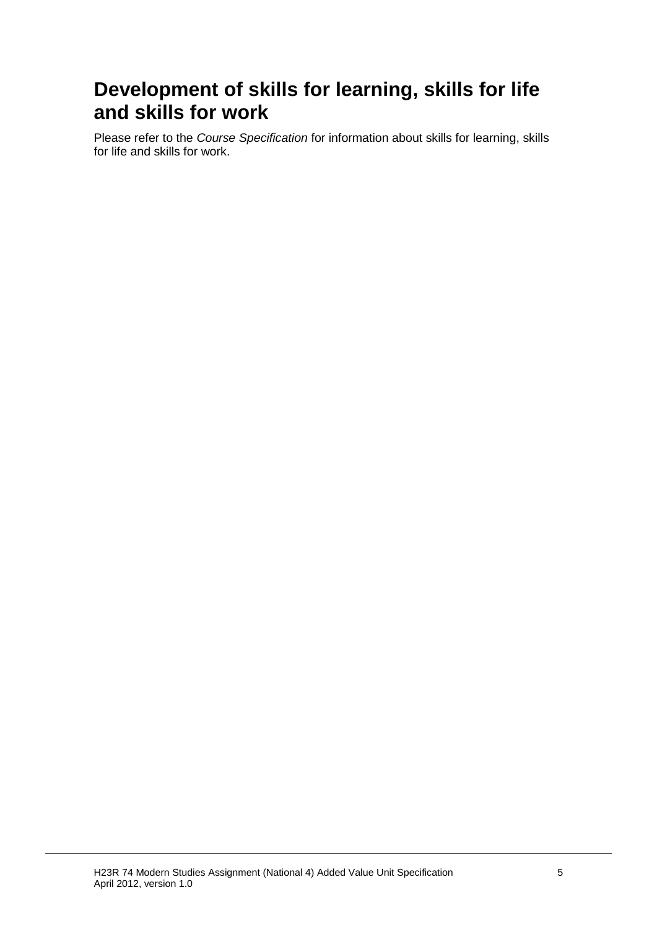# **Development of skills for learning, skills for life and skills for work**

Please refer to the *Course Specification* for information about skills for learning, skills for life and skills for work.

H23R 74 Modern Studies Assignment (National 4) Added Value Unit Specification 5 April 2012, version 1.0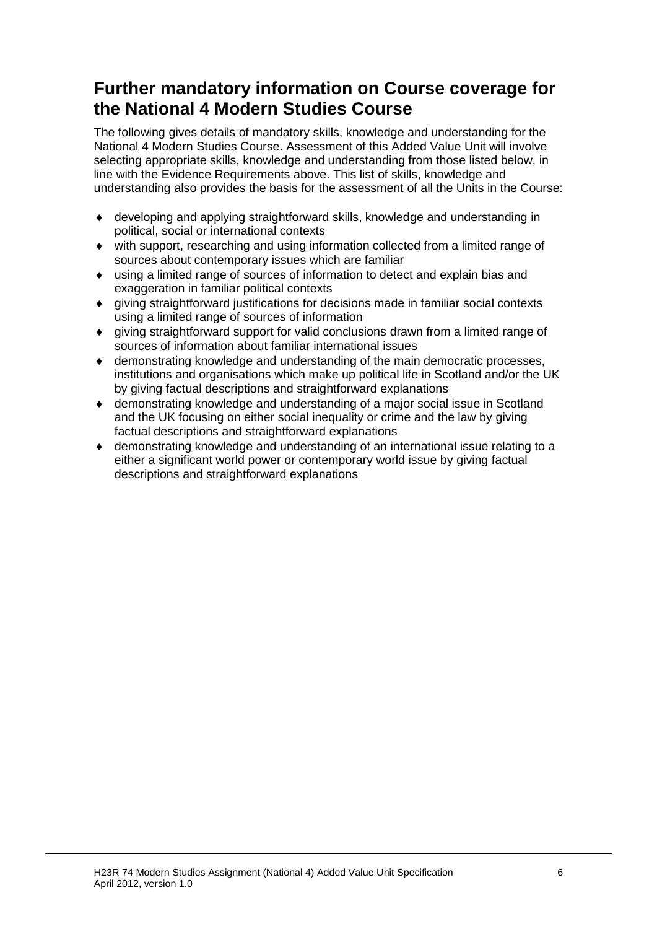## **Further mandatory information on Course coverage for the National 4 Modern Studies Course**

The following gives details of mandatory skills, knowledge and understanding for the National 4 Modern Studies Course. Assessment of this Added Value Unit will involve selecting appropriate skills, knowledge and understanding from those listed below, in line with the Evidence Requirements above. This list of skills, knowledge and understanding also provides the basis for the assessment of all the Units in the Course:

- developing and applying straightforward skills, knowledge and understanding in political, social or international contexts
- with support, researching and using information collected from a limited range of sources about contemporary issues which are familiar
- using a limited range of sources of information to detect and explain bias and exaggeration in familiar political contexts
- $\bullet$  giving straightforward justifications for decisions made in familiar social contexts using a limited range of sources of information
- giving straightforward support for valid conclusions drawn from a limited range of sources of information about familiar international issues
- demonstrating knowledge and understanding of the main democratic processes, institutions and organisations which make up political life in Scotland and/or the UK by giving factual descriptions and straightforward explanations
- demonstrating knowledge and understanding of a major social issue in Scotland and the UK focusing on either social inequality or crime and the law by giving factual descriptions and straightforward explanations
- $\bullet$  demonstrating knowledge and understanding of an international issue relating to a either a significant world power or contemporary world issue by giving factual descriptions and straightforward explanations